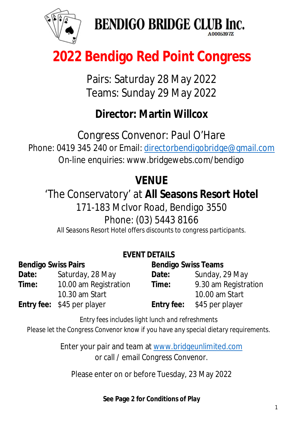

**BENDIGO BRIDGE CLUB Inc.** 

## **2022 Bendigo Red Point Congress**

Pairs: Saturday 28 May 2022 Teams: Sunday 29 May 2022

### **Director: Martin Willcox**

Congress Convenor: Paul O'Hare Phone: 0419 345 240 or Email: [directorbendigobridge@gmail.com](mailto:directorbendigobridge@gmail.com) On-line enquiries: [www.bridgewebs.com/bendigo](http://www.bridgewebs.com/bendigo)

### **VENUE**

### 'The Conservatory' at **All Seasons Resort Hotel**

171-183 McIvor Road, Bendigo 3550

Phone: (03) 5443 8166

*All Seasons Resort Hotel offers discounts to congress participants.*

#### **EVENT DETAILS**

| <b>Bendigo Swiss Pairs</b> |                                   | <b>Bendigo Swiss Teams</b> |                      |
|----------------------------|-----------------------------------|----------------------------|----------------------|
| Date:                      | Saturday, 28 May                  | Date:                      | Sunday, 29 May       |
| Time:                      | 10.00 am Registration             | <b>Time:</b>               | 9.30 am Registration |
|                            | 10.30 am Start                    |                            | 10.00 am Start       |
|                            | <b>Entry fee:</b> \$45 per player | <b>Entry fee:</b>          | \$45 per player      |

*Entry fees includes light lunch and refreshments Please let the Congress Convenor know if you have any special dietary requirements.*

> Enter your pair and team at [www.bridgeunlimited.com](http://www.bridgeunlimited.com) or call / email Congress Convenor.

Please enter on or before Tuesday, 23 May 2022

#### **See Page 2 for Conditions of Play**